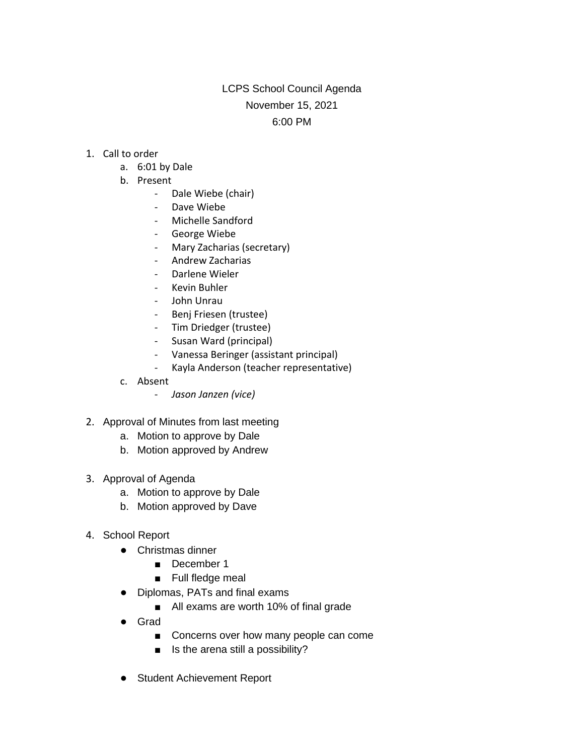## LCPS School Council Agenda November 15, 2021 6:00 PM

- 1. Call to order
	- a. 6:01 by Dale
	- b. Present
		- Dale Wiebe (chair)
		- Dave Wiebe
		- Michelle Sandford
		- George Wiebe
		- Mary Zacharias (secretary)
		- Andrew Zacharias
		- Darlene Wieler
		- Kevin Buhler
		- John Unrau
		- Benj Friesen (trustee)
		- Tim Driedger (trustee)
		- Susan Ward (principal)
		- Vanessa Beringer (assistant principal)
		- Kayla Anderson (teacher representative)
	- c. Absent
		- *Jason Janzen (vice)*
- 2. Approval of Minutes from last meeting
	- a. Motion to approve by Dale
	- b. Motion approved by Andrew
- 3. Approval of Agenda
	- a. Motion to approve by Dale
	- b. Motion approved by Dave
- 4. School Report
	- Christmas dinner
		- December 1
		- Full fledge meal
	- Diplomas, PATs and final exams
		- All exams are worth 10% of final grade
	- Grad
		- Concerns over how many people can come
		- Is the arena still a possibility?
	- Student Achievement Report